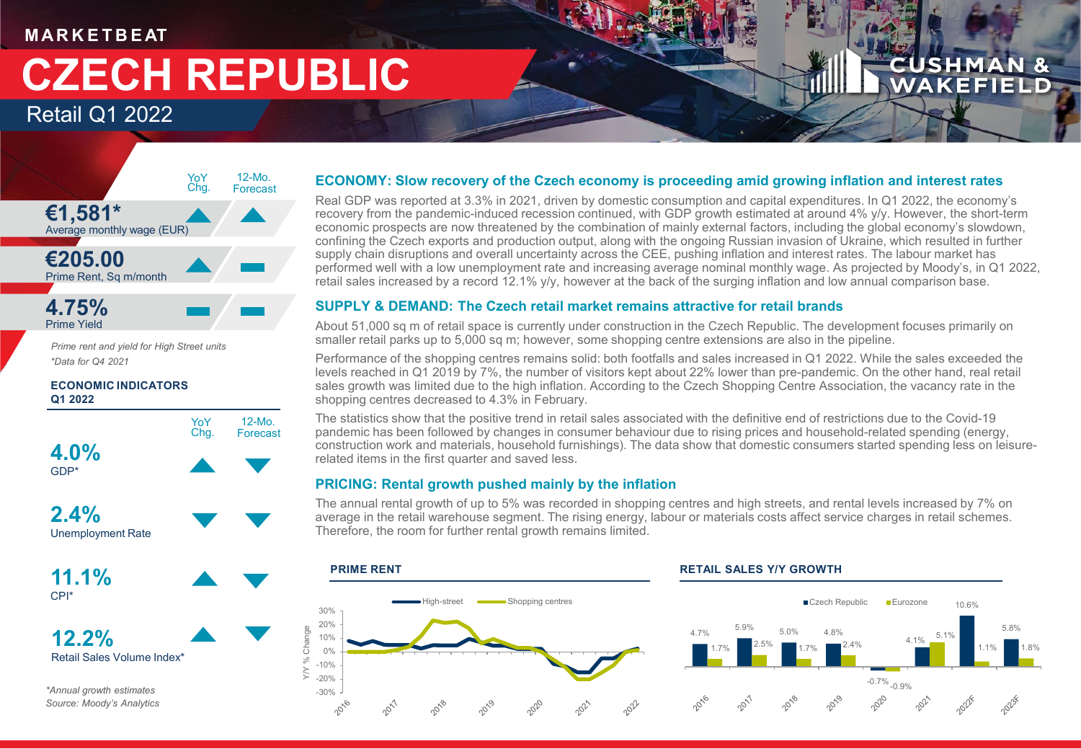### **M AR K E T B E AT**

# **CZECH REPUBLIC**

### Retail Q1 2022



*Prime rent and yield for High Street units \*Data for Q4 2021*

### **ECONOMIC INDICATORS Q1 2022**



**12.2%** Retail Sales Volume Index\*

*\*Annual growth estimates Source: Moody's Analytics*

### **ECONOMY: Slow recovery of the Czech economy is proceeding amid growing inflation and interest rates**

Real GDP was reported at 3.3% in 2021, driven by domestic consumption and capital expenditures. In Q1 2022, the economy's recovery from the pandemic-induced recession continued, with GDP growth estimated at around 4% y/y. However, the short-term economic prospects are now threatened by the combination of mainly external factors, including the global economy's slowdown, confining the Czech exports and production output, along with the ongoing Russian invasion of Ukraine, which resulted in further supply chain disruptions and overall uncertainty across the CEE, pushing inflation and interest rates. The labour market has performed well with a low unemployment rate and increasing average nominal monthly wage. As projected by Moody's, in Q1 2022, retail sales increased by a record 12.1% y/y, however at the back of the surging inflation and low annual comparison base.

**CUSHMAN & WAKEFIELD** 

### **SUPPLY & DEMAND: The Czech retail market remains attractive for retail brands**

About 51,000 sq m of retail space is currently under construction in the Czech Republic. The development focuses primarily on smaller retail parks up to 5,000 sq m; however, some shopping centre extensions are also in the pipeline.

Performance of the shopping centres remains solid: both footfalls and sales increased in Q1 2022. While the sales exceeded the levels reached in Q1 2019 by 7%, the number of visitors kept about 22% lower than pre-pandemic. On the other hand, real retail sales growth was limited due to the high inflation. According to the Czech Shopping Centre Association, the vacancy rate in the shopping centres decreased to 4.3% in February.

The statistics show that the positive trend in retail sales associated with the definitive end of restrictions due to the Covid-19 pandemic has been followed by changes in consumer behaviour due to rising prices and household-related spending (energy, construction work and materials, household furnishings). The data show that domestic consumers started spending less on leisurerelated items in the first quarter and saved less.

### **PRICING: Rental growth pushed mainly by the inflation**

The annual rental growth of up to 5% was recorded in shopping centres and high streets, and rental levels increased by 7% on average in the retail warehouse segment. The rising energy, labour or materials costs affect service charges in retail schemes. Therefore, the room for further rental growth remains limited.